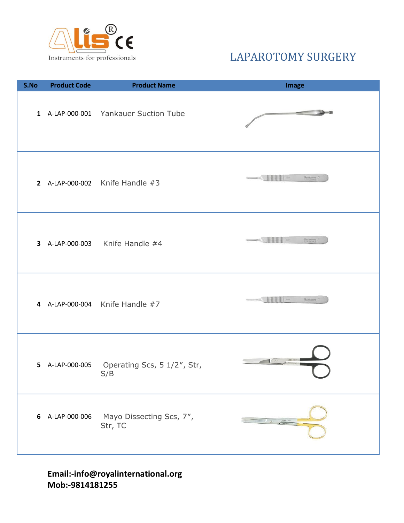

| S.No | <b>Product Code</b> | <b>Product Name</b>                                | <b>Image</b>                             |
|------|---------------------|----------------------------------------------------|------------------------------------------|
|      |                     | 1 A-LAP-000-001 Yankauer Suction Tube              |                                          |
|      |                     | 2 A-LAP-000-002 Knife Handle $#3$                  |                                          |
|      |                     | 3 A-LAP-000-003 Knife Handle #4                    | Rosa sonomia                             |
|      |                     | 4 A-LAP-000-004 Knife Handle #7                    | <b>THE REAL PROPERTY</b><br>Ross someone |
|      |                     | 5 A-LAP-000-005 Operating Scs, 5 1/2", Str,<br>S/B | <b>Tallon</b> was no                     |
|      | 6 A-LAP-000-006     | Mayo Dissecting Scs, 7",<br>Str, TC                | $\mathcal{F}$                            |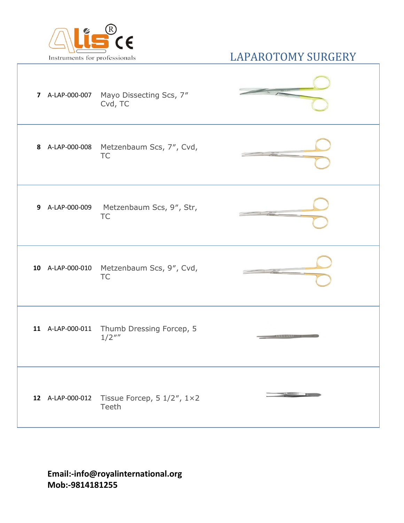

|  | 7 A-LAP-000-007 Mayo Dissecting Scs, 7"<br>Cvd, TC                      |  |
|--|-------------------------------------------------------------------------|--|
|  | 8 A-LAP-000-008 Metzenbaum Scs, 7", Cvd,<br><b>TC</b>                   |  |
|  | 9 A-LAP-000-009 Metzenbaum Scs, 9", Str,<br><b>TC</b>                   |  |
|  | 10 A-LAP-000-010 Metzenbaum Scs, 9", Cvd,<br><b>TC</b>                  |  |
|  | 11 A-LAP-000-011 Thumb Dressing Forcep, 5<br>$1/2$ ""                   |  |
|  | 12 A-LAP-000-012 Tissue Forcep, $5 \frac{1}{2}$ , $1 \times 2$<br>Teeth |  |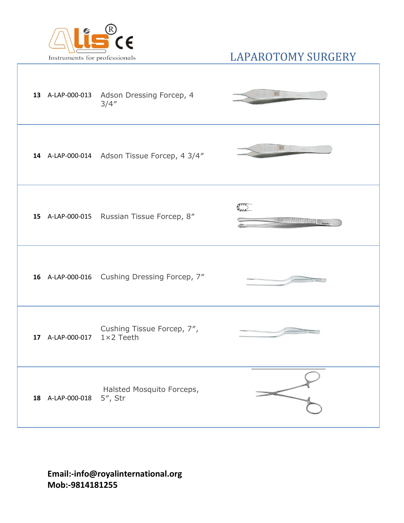

|    |                            | 13 A-LAP-000-013 Adson Dressing Forcep, 4<br>3/4'' | 鵝<br>mC                                                                                                                                                                                                                               |
|----|----------------------------|----------------------------------------------------|---------------------------------------------------------------------------------------------------------------------------------------------------------------------------------------------------------------------------------------|
|    |                            | 14 A-LAP-000-014 Adson Tissue Forcep, 4 3/4"       |                                                                                                                                                                                                                                       |
| 15 |                            | A-LAP-000-015 Russian Tissue Forcep, 8"            | Emp<br>Hotel Company Hotel Hotel Hotel Hotel Hotel Hotel Hotel Hotel Hotel Hotel Hotel Hotel Hotel Hotel Hotel Hotel Hotel Hotel Hotel Hotel Hotel Hotel Hotel Hotel Hotel Hotel Hotel Hotel Hotel Hotel Hotel Hotel Hotel Hotel Hote |
|    |                            | 16 A-LAP-000-016 Cushing Dressing Forcep, 7"       |                                                                                                                                                                                                                                       |
|    | 17 A-LAP-000-017 1×2 Teeth | Cushing Tissue Forcep, 7",                         |                                                                                                                                                                                                                                       |
|    | 18 A-LAP-000-018           | Halsted Mosquito Forceps,<br>$5$ ", Str            |                                                                                                                                                                                                                                       |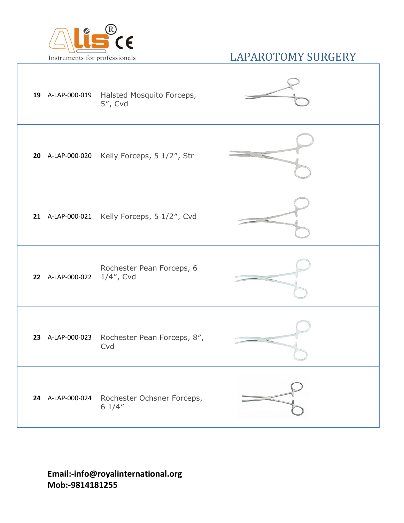

|                            | 19 A-LAP-000-019 Halsted Mosquito Forceps,<br>5", Cvd |  |
|----------------------------|-------------------------------------------------------|--|
|                            | 20 A-LAP-000-020 Kelly Forceps, 5 1/2", Str           |  |
|                            | 21 A-LAP-000-021 Kelly Forceps, 5 1/2", Cvd           |  |
| 22 A-LAP-000-022 1/4", Cvd | Rochester Pean Forceps, 6                             |  |
|                            | 23 A-LAP-000-023 Rochester Pean Forceps, 8",<br>Cvd   |  |
|                            | 24 A-LAP-000-024 Rochester Ochsner Forceps,<br>61/4"  |  |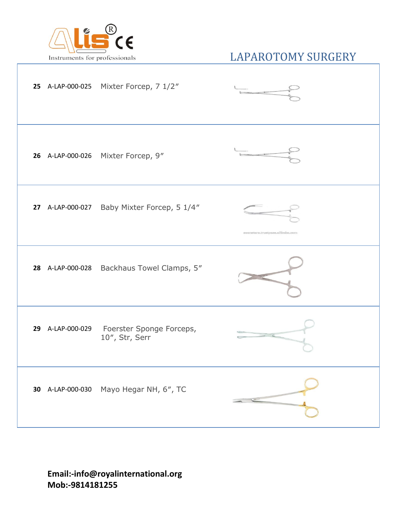

|  | 25 A-LAP-000-025 Mixter Forcep, 7 1/2"                      |                                  |
|--|-------------------------------------------------------------|----------------------------------|
|  | 26 A-LAP-000-026 Mixter Forcep, 9"                          |                                  |
|  | 27 A-LAP-000-027 Baby Mixter Forcep, 5 1/4"                 | asematera.truetpesa.ellibebe.com |
|  | 28 A-LAP-000-028 Backhaus Towel Clamps, 5"                  |                                  |
|  | 29 A-LAP-000-029 Foerster Sponge Forceps,<br>10", Str, Serr |                                  |
|  | 30 A-LAP-000-030 Mayo Hegar NH, 6", TC                      |                                  |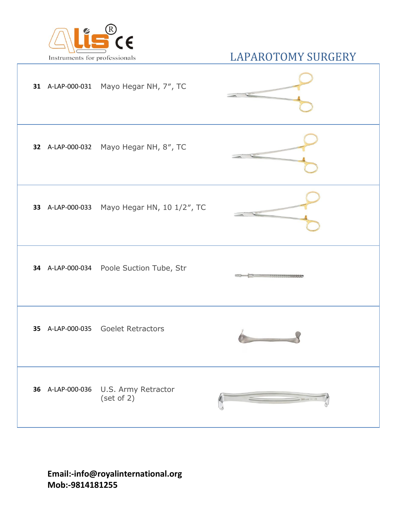

|                  | 31 A-LAP-000-031 Mayo Hegar NH, 7", TC      |                                                                                                                                                                                                                                                                                                                                                                                             |
|------------------|---------------------------------------------|---------------------------------------------------------------------------------------------------------------------------------------------------------------------------------------------------------------------------------------------------------------------------------------------------------------------------------------------------------------------------------------------|
|                  | 32 A-LAP-000-032 Mayo Hegar NH, 8", TC      |                                                                                                                                                                                                                                                                                                                                                                                             |
|                  | 33 A-LAP-000-033 Mayo Hegar HN, 10 1/2", TC |                                                                                                                                                                                                                                                                                                                                                                                             |
|                  | 34 A-LAP-000-034 Poole Suction Tube, Str    |                                                                                                                                                                                                                                                                                                                                                                                             |
|                  | 35 A-LAP-000-035 Goelet Retractors          |                                                                                                                                                                                                                                                                                                                                                                                             |
| 36 A-LAP-000-036 | U.S. Army Retractor<br>(set of 2)           | $\frac{1}{\sqrt{2\pi}}\sum_{n=1}^{\infty}\frac{1}{n} \sum_{n=1}^{\infty}\frac{1}{n} \sum_{n=1}^{\infty}\frac{1}{n} \sum_{n=1}^{\infty}\frac{1}{n} \sum_{n=1}^{\infty}\frac{1}{n} \sum_{n=1}^{\infty}\frac{1}{n} \sum_{n=1}^{\infty}\frac{1}{n} \sum_{n=1}^{\infty}\frac{1}{n} \sum_{n=1}^{\infty}\frac{1}{n} \sum_{n=1}^{\infty}\frac{1}{n} \sum_{n=1}^{\infty}\frac{1}{n} \sum_{n=1}^{\in$ |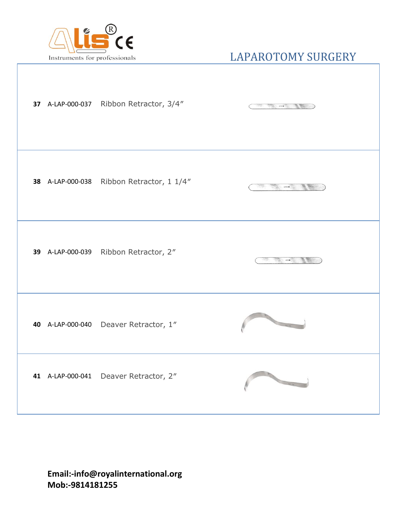

|  | 37 A-LAP-000-037 Ribbon Retractor, 3/4"   | The South of the South of the South of the South of the South of the South of the South of the South of the South of the South of the South of the South of the South of the South of the South of the South of the South of t |
|--|-------------------------------------------|--------------------------------------------------------------------------------------------------------------------------------------------------------------------------------------------------------------------------------|
|  | 38 A-LAP-000-038 Ribbon Retractor, 1 1/4" | $m =$                                                                                                                                                                                                                          |
|  | 39 A-LAP-000-039 Ribbon Retractor, 2"     | $\rightarrow$                                                                                                                                                                                                                  |
|  | 40 A-LAP-000-040 Deaver Retractor, 1"     | <b>CONTRACTOR</b>                                                                                                                                                                                                              |
|  | 41 A-LAP-000-041 Deaver Retractor, 2"     |                                                                                                                                                                                                                                |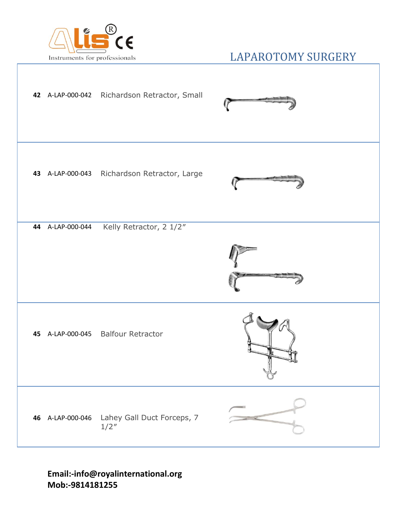

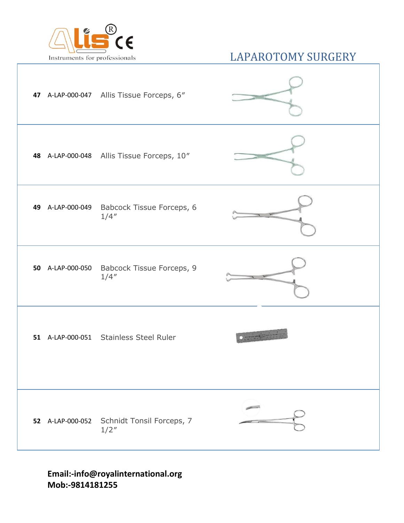

|    | 47 A-LAP-000-047 Allis Tissue Forceps, 6"           |  |
|----|-----------------------------------------------------|--|
|    | 48 A-LAP-000-048 Allis Tissue Forceps, 10"          |  |
| 49 | A-LAP-000-049 Babcock Tissue Forceps, 6<br>1/4''    |  |
|    | 50 A-LAP-000-050 Babcock Tissue Forceps, 9<br>1/4'' |  |
|    | 51 A-LAP-000-051 Stainless Steel Ruler              |  |
|    | 52 A-LAP-000-052 Schnidt Tonsil Forceps, 7<br>1/2'' |  |